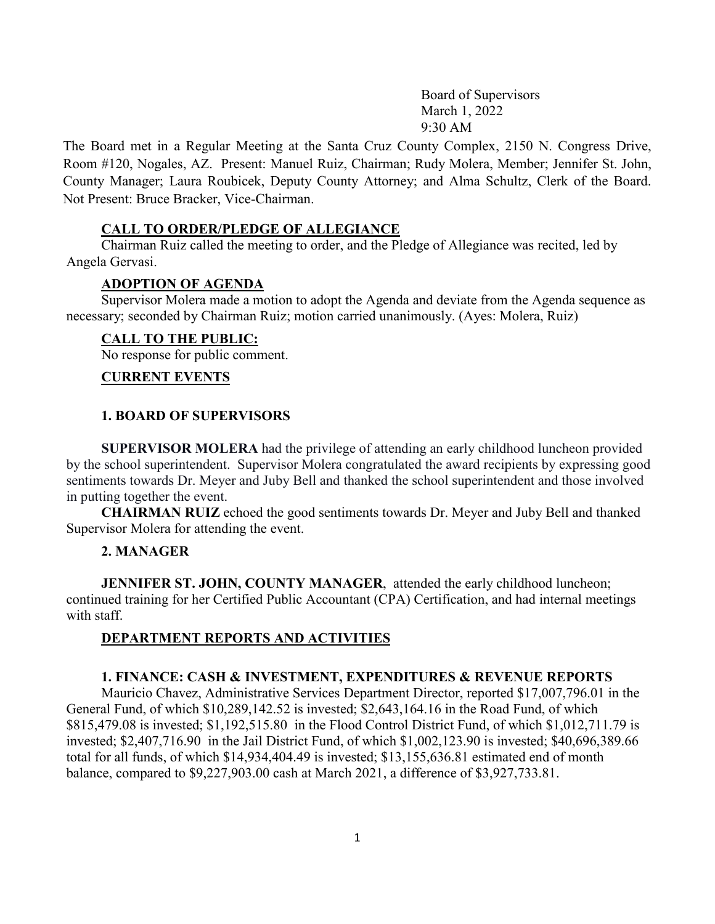Board of Supervisors March 1, 2022 9:30 AM

The Board met in a Regular Meeting at the Santa Cruz County Complex, 2150 N. Congress Drive, Room #120, Nogales, AZ. Present: Manuel Ruiz, Chairman; Rudy Molera, Member; Jennifer St. John, County Manager; Laura Roubicek, Deputy County Attorney; and Alma Schultz, Clerk of the Board. Not Present: Bruce Bracker, Vice-Chairman.

### **CALL TO ORDER/PLEDGE OF ALLEGIANCE**

 Chairman Ruiz called the meeting to order, and the Pledge of Allegiance was recited, led by Angela Gervasi.

### **ADOPTION OF AGENDA**

 Supervisor Molera made a motion to adopt the Agenda and deviate from the Agenda sequence as necessary; seconded by Chairman Ruiz; motion carried unanimously. (Ayes: Molera, Ruiz)

#### **CALL TO THE PUBLIC:**

No response for public comment.

#### **CURRENT EVENTS**

#### **1. BOARD OF SUPERVISORS**

 **SUPERVISOR MOLERA** had the privilege of attending an early childhood luncheon provided by the school superintendent. Supervisor Molera congratulated the award recipients by expressing good sentiments towards Dr. Meyer and Juby Bell and thanked the school superintendent and those involved in putting together the event.

 **CHAIRMAN RUIZ** echoed the good sentiments towards Dr. Meyer and Juby Bell and thanked Supervisor Molera for attending the event.

### **2. MANAGER**

**JENNIFER ST. JOHN, COUNTY MANAGER**, attended the early childhood luncheon; continued training for her Certified Public Accountant (CPA) Certification, and had internal meetings with staff.

### **DEPARTMENT REPORTS AND ACTIVITIES**

### **1. FINANCE: CASH & INVESTMENT, EXPENDITURES & REVENUE REPORTS**

Mauricio Chavez, Administrative Services Department Director, reported \$17,007,796.01 in the General Fund, of which \$10,289,142.52 is invested; \$2,643,164.16 in the Road Fund, of which \$815,479.08 is invested; \$1,192,515.80 in the Flood Control District Fund, of which \$1,012,711.79 is invested; \$2,407,716.90 in the Jail District Fund, of which \$1,002,123.90 is invested; \$40,696,389.66 total for all funds, of which \$14,934,404.49 is invested; \$13,155,636.81 estimated end of month balance, compared to \$9,227,903.00 cash at March 2021, a difference of \$3,927,733.81.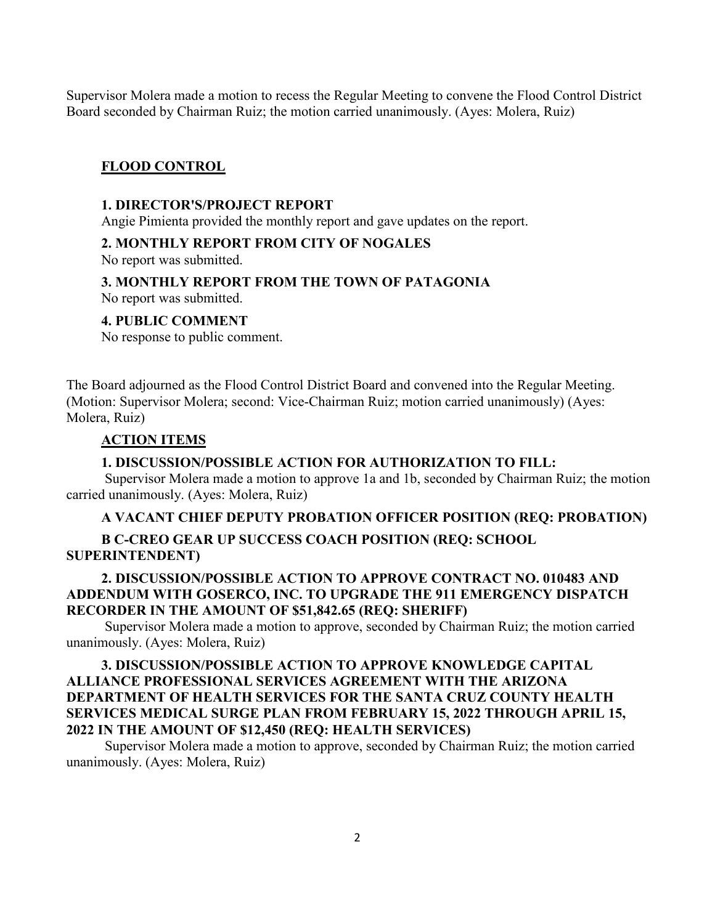Supervisor Molera made a motion to recess the Regular Meeting to convene the Flood Control District Board seconded by Chairman Ruiz; the motion carried unanimously. (Ayes: Molera, Ruiz)

## **FLOOD CONTROL**

### **1. DIRECTOR'S/PROJECT REPORT**

Angie Pimienta provided the monthly report and gave updates on the report.

### **2. MONTHLY REPORT FROM CITY OF NOGALES**

No report was submitted.

### **3. MONTHLY REPORT FROM THE TOWN OF PATAGONIA**

No report was submitted.

### **4. PUBLIC COMMENT**

No response to public comment.

The Board adjourned as the Flood Control District Board and convened into the Regular Meeting. (Motion: Supervisor Molera; second: Vice-Chairman Ruiz; motion carried unanimously) (Ayes: Molera, Ruiz)

#### **ACTION ITEMS**

## **1. DISCUSSION/POSSIBLE ACTION FOR AUTHORIZATION TO FILL:**

Supervisor Molera made a motion to approve 1a and 1b, seconded by Chairman Ruiz; the motion carried unanimously. (Ayes: Molera, Ruiz)

### **A VACANT CHIEF DEPUTY PROBATION OFFICER POSITION (REQ: PROBATION)**

### **B C-CREO GEAR UP SUCCESS COACH POSITION (REQ: SCHOOL SUPERINTENDENT)**

## **2. DISCUSSION/POSSIBLE ACTION TO APPROVE CONTRACT NO. 010483 AND ADDENDUM WITH GOSERCO, INC. TO UPGRADE THE 911 EMERGENCY DISPATCH RECORDER IN THE AMOUNT OF \$51,842.65 (REQ: SHERIFF)**

Supervisor Molera made a motion to approve, seconded by Chairman Ruiz; the motion carried unanimously. (Ayes: Molera, Ruiz)

## **3. DISCUSSION/POSSIBLE ACTION TO APPROVE KNOWLEDGE CAPITAL ALLIANCE PROFESSIONAL SERVICES AGREEMENT WITH THE ARIZONA DEPARTMENT OF HEALTH SERVICES FOR THE SANTA CRUZ COUNTY HEALTH SERVICES MEDICAL SURGE PLAN FROM FEBRUARY 15, 2022 THROUGH APRIL 15, 2022 IN THE AMOUNT OF \$12,450 (REQ: HEALTH SERVICES)**

Supervisor Molera made a motion to approve, seconded by Chairman Ruiz; the motion carried unanimously. (Ayes: Molera, Ruiz)